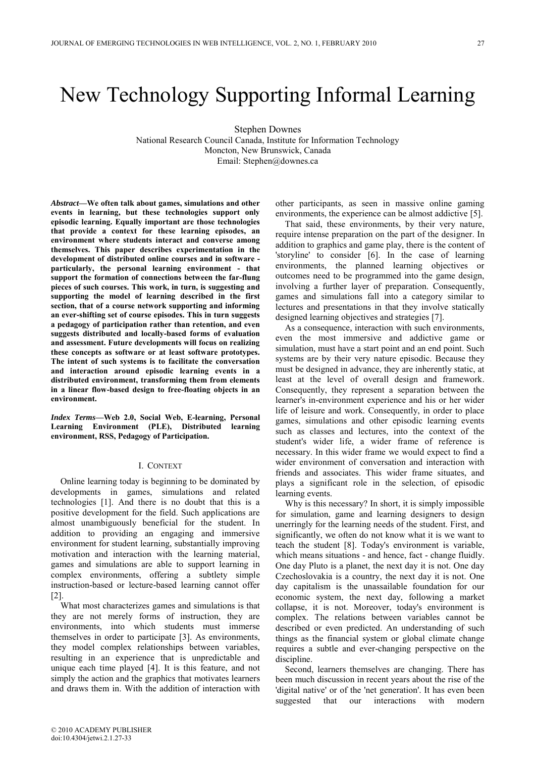# New Technology Supporting Informal Learning

Stephen Downes

National Research Council Canada, Institute for Information Technology Moncton, New Brunswick, Canada Email: Stephen@downes.ca

*Abstract***—We often talk about games, simulations and other events in learning, but these technologies support only episodic learning. Equally important are those technologies that provide a context for these learning episodes, an environment where students interact and converse among themselves. This paper describes experimentation in the development of distributed online courses and in software particularly, the personal learning environment - that support the formation of connections between the far-flung pieces of such courses. This work, in turn, is suggesting and supporting the model of learning described in the first section, that of a course network supporting and informing an ever-shifting set of course episodes. This in turn suggests a pedagogy of participation rather than retention, and even suggests distributed and locally-based forms of evaluation and assessment. Future developments will focus on realizing these concepts as software or at least software prototypes. The intent of such systems is to facilitate the conversation and interaction around episodic learning events in a distributed environment, transforming them from elements in a linear flow-based design to free-floating objects in an environment.**

*Index Terms***—Web 2.0, Social Web, E-learning, Personal Learning Environment (PLE), Distributed learning environment, RSS, Pedagogy of Participation.**

## I. CONTEXT

Online learning today is beginning to be dominated by developments in games, simulations and related technologies [1]. And there is no doubt that this is a positive development for the field. Such applications are almost unambiguously beneficial for the student. In addition to providing an engaging and immersive environment for student learning, substantially improving motivation and interaction with the learning material, games and simulations are able to support learning in complex environments, offering a subtlety simple instruction-based or lecture-based learning cannot offer [2].

What most characterizes games and simulations is that they are not merely forms of instruction, they are environments, into which students must immerse themselves in order to participate [3]. As environments, they model complex relationships between variables, resulting in an experience that is unpredictable and unique each time played [4]. It is this feature, and not simply the action and the graphics that motivates learners and draws them in. With the addition of interaction with other participants, as seen in massive online gaming environments, the experience can be almost addictive [5].

That said, these environments, by their very nature, require intense preparation on the part of the designer. In addition to graphics and game play, there is the content of 'storyline' to consider [6]. In the case of learning environments, the planned learning objectives or outcomes need to be programmed into the game design, involving a further layer of preparation. Consequently, games and simulations fall into a category similar to lectures and presentations in that they involve statically designed learning objectives and strategies [7].

As a consequence, interaction with such environments, even the most immersive and addictive game or simulation, must have a start point and an end point. Such systems are by their very nature episodic. Because they must be designed in advance, they are inherently static, at least at the level of overall design and framework. Consequently, they represent a separation between the learner's in-environment experience and his or her wider life of leisure and work. Consequently, in order to place games, simulations and other episodic learning events such as classes and lectures, into the context of the student's wider life, a wider frame of reference is necessary. In this wider frame we would expect to find a wider environment of conversation and interaction with friends and associates. This wider frame situates, and plays a significant role in the selection, of episodic learning events.

Why is this necessary? In short, it is simply impossible for simulation, game and learning designers to design unerringly for the learning needs of the student. First, and significantly, we often do not know what it is we want to teach the student [8]. Today's environment is variable, which means situations - and hence, fact - change fluidly. One day Pluto is a planet, the next day it is not. One day Czechoslovakia is a country, the next day it is not. One day capitalism is the unassailable foundation for our economic system, the next day, following a market collapse, it is not. Moreover, today's environment is complex. The relations between variables cannot be described or even predicted. An understanding of such things as the financial system or global climate change requires a subtle and ever-changing perspective on the discipline.

Second, learners themselves are changing. There has been much discussion in recent years about the rise of the 'digital native' or of the 'net generation'. It has even been suggested that our interactions with modern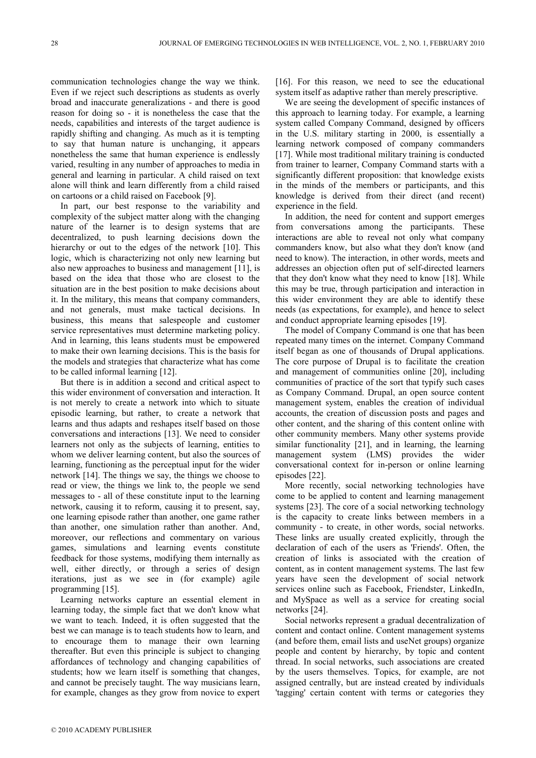communication technologies change the way we think. Even if we reject such descriptions as students as overly broad and inaccurate generalizations - and there is good reason for doing so - it is nonetheless the case that the needs, capabilities and interests of the target audience is rapidly shifting and changing. As much as it is tempting to say that human nature is unchanging, it appears nonetheless the same that human experience is endlessly varied, resulting in any number of approaches to media in general and learning in particular. A child raised on text alone will think and learn differently from a child raised on cartoons or a child raised on Facebook [9].

In part, our best response to the variability and complexity of the subject matter along with the changing nature of the learner is to design systems that are decentralized, to push learning decisions down the hierarchy or out to the edges of the network [10]. This logic, which is characterizing not only new learning but also new approaches to business and management [11], is based on the idea that those who are closest to the situation are in the best position to make decisions about it. In the military, this means that company commanders, and not generals, must make tactical decisions. In business, this means that salespeople and customer service representatives must determine marketing policy. And in learning, this leans students must be empowered to make their own learning decisions. This is the basis for the models and strategies that characterize what has come to be called informal learning [12].

But there is in addition a second and critical aspect to this wider environment of conversation and interaction. It is not merely to create a network into which to situate episodic learning, but rather, to create a network that learns and thus adapts and reshapes itself based on those conversations and interactions [13]. We need to consider learners not only as the subjects of learning, entities to whom we deliver learning content, but also the sources of learning, functioning as the perceptual input for the wider network [14]. The things we say, the things we choose to read or view, the things we link to, the people we send messages to - all of these constitute input to the learning network, causing it to reform, causing it to present, say, one learning episode rather than another, one game rather than another, one simulation rather than another. And, moreover, our reflections and commentary on various games, simulations and learning events constitute feedback for those systems, modifying them internally as well, either directly, or through a series of design iterations, just as we see in (for example) agile programming [15].

Learning networks capture an essential element in learning today, the simple fact that we don't know what we want to teach. Indeed, it is often suggested that the best we can manage is to teach students how to learn, and to encourage them to manage their own learning thereafter. But even this principle is subject to changing affordances of technology and changing capabilities of students; how we learn itself is something that changes, and cannot be precisely taught. The way musicians learn, for example, changes as they grow from novice to expert

[16]. For this reason, we need to see the educational system itself as adaptive rather than merely prescriptive.

We are seeing the development of specific instances of this approach to learning today. For example, a learning system called Company Command, designed by officers in the U.S. military starting in 2000, is essentially a learning network composed of company commanders [17]. While most traditional military training is conducted from trainer to learner, Company Command starts with a significantly different proposition: that knowledge exists in the minds of the members or participants, and this knowledge is derived from their direct (and recent) experience in the field.

In addition, the need for content and support emerges from conversations among the participants. These interactions are able to reveal not only what company commanders know, but also what they don't know (and need to know). The interaction, in other words, meets and addresses an objection often put of self-directed learners that they don't know what they need to know [18]. While this may be true, through participation and interaction in this wider environment they are able to identify these needs (as expectations, for example), and hence to select and conduct appropriate learning episodes [19].

The model of Company Command is one that has been repeated many times on the internet. Company Command itself began as one of thousands of Drupal applications. The core purpose of Drupal is to facilitate the creation and management of communities online [20], including communities of practice of the sort that typify such cases as Company Command. Drupal, an open source content management system, enables the creation of individual accounts, the creation of discussion posts and pages and other content, and the sharing of this content online with other community members. Many other systems provide similar functionality [21], and in learning, the learning management system (LMS) provides the wider conversational context for in-person or online learning episodes [22].

More recently, social networking technologies have come to be applied to content and learning management systems [23]. The core of a social networking technology is the capacity to create links between members in a community - to create, in other words, social networks. These links are usually created explicitly, through the declaration of each of the users as 'Friends'. Often, the creation of links is associated with the creation of content, as in content management systems. The last few years have seen the development of social network services online such as Facebook, Friendster, LinkedIn, and MySpace as well as a service for creating social networks [24].

Social networks represent a gradual decentralization of content and contact online. Content management systems (and before them, email lists and useNet groups) organize people and content by hierarchy, by topic and content thread. In social networks, such associations are created by the users themselves. Topics, for example, are not assigned centrally, but are instead created by individuals 'tagging' certain content with terms or categories they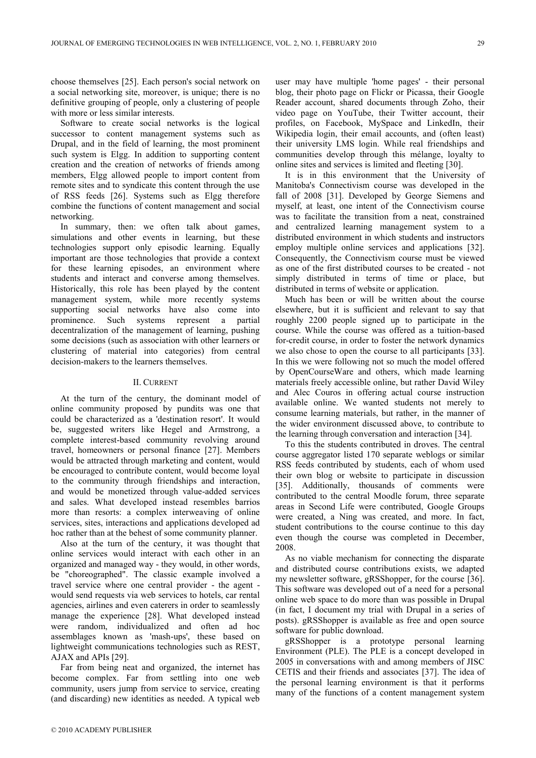choose themselves [25]. Each person's social network on a social networking site, moreover, is unique; there is no definitive grouping of people, only a clustering of people with more or less similar interests.

Software to create social networks is the logical successor to content management systems such as Drupal, and in the field of learning, the most prominent such system is Elgg. In addition to supporting content creation and the creation of networks of friends among members, Elgg allowed people to import content from remote sites and to syndicate this content through the use of RSS feeds [26]. Systems such as Elgg therefore combine the functions of content management and social networking.

In summary, then: we often talk about games, simulations and other events in learning, but these technologies support only episodic learning. Equally important are those technologies that provide a context for these learning episodes, an environment where students and interact and converse among themselves. Historically, this role has been played by the content management system, while more recently systems supporting social networks have also come into prominence. Such systems represent a partial decentralization of the management of learning, pushing some decisions (such as association with other learners or clustering of material into categories) from central decision-makers to the learners themselves.

# II. CURRENT

At the turn of the century, the dominant model of online community proposed by pundits was one that could be characterized as a 'destination resort'. It would be, suggested writers like Hegel and Armstrong, a complete interest-based community revolving around travel, homeowners or personal finance [27]. Members would be attracted through marketing and content, would be encouraged to contribute content, would become loyal to the community through friendships and interaction, and would be monetized through value-added services and sales. What developed instead resembles barrios more than resorts: a complex interweaving of online services, sites, interactions and applications developed ad hoc rather than at the behest of some community planner.

Also at the turn of the century, it was thought that online services would interact with each other in an organized and managed way - they would, in other words, be "choreographed". The classic example involved a travel service where one central provider - the agent would send requests via web services to hotels, car rental agencies, airlines and even caterers in order to seamlessly manage the experience [28]. What developed instead were random, individualized and often ad hoc assemblages known as 'mash-ups', these based on lightweight communications technologies such as REST, AJAX and APIs [29].

Far from being neat and organized, the internet has become complex. Far from settling into one web community, users jump from service to service, creating (and discarding) new identities as needed. A typical web user may have multiple 'home pages' - their personal blog, their photo page on Flickr or Picassa, their Google Reader account, shared documents through Zoho, their video page on YouTube, their Twitter account, their profiles, on Facebook, MySpace and LinkedIn, their Wikipedia login, their email accounts, and (often least) their university LMS login. While real friendships and communities develop through this mélange, loyalty to online sites and services is limited and fleeting [30].

It is in this environment that the University of Manitoba's Connectivism course was developed in the fall of 2008 [31]. Developed by George Siemens and myself, at least, one intent of the Connectivism course was to facilitate the transition from a neat, constrained and centralized learning management system to a distributed environment in which students and instructors employ multiple online services and applications [32]. Consequently, the Connectivism course must be viewed as one of the first distributed courses to be created - not simply distributed in terms of time or place, but distributed in terms of website or application.

Much has been or will be written about the course elsewhere, but it is sufficient and relevant to say that roughly 2200 people signed up to participate in the course. While the course was offered as a tuition-based for-credit course, in order to foster the network dynamics we also chose to open the course to all participants [33]. In this we were following not so much the model offered by OpenCourseWare and others, which made learning materials freely accessible online, but rather David Wiley and Alec Couros in offering actual course instruction available online. We wanted students not merely to consume learning materials, but rather, in the manner of the wider environment discussed above, to contribute to the learning through conversation and interaction [34].

To this the students contributed in droves. The central course aggregator listed 170 separate weblogs or similar RSS feeds contributed by students, each of whom used their own blog or website to participate in discussion [35]. Additionally, thousands of comments were contributed to the central Moodle forum, three separate areas in Second Life were contributed, Google Groups were created, a Ning was created, and more. In fact, student contributions to the course continue to this day even though the course was completed in December, 2008.

As no viable mechanism for connecting the disparate and distributed course contributions exists, we adapted my newsletter software, gRSShopper, for the course [36]. This software was developed out of a need for a personal online web space to do more than was possible in Drupal (in fact, I document my trial with Drupal in a series of posts). gRSShopper is available as free and open source software for public download.

gRSShopper is a prototype personal learning Environment (PLE). The PLE is a concept developed in 2005 in conversations with and among members of JISC CETIS and their friends and associates [37]. The idea of the personal learning environment is that it performs many of the functions of a content management system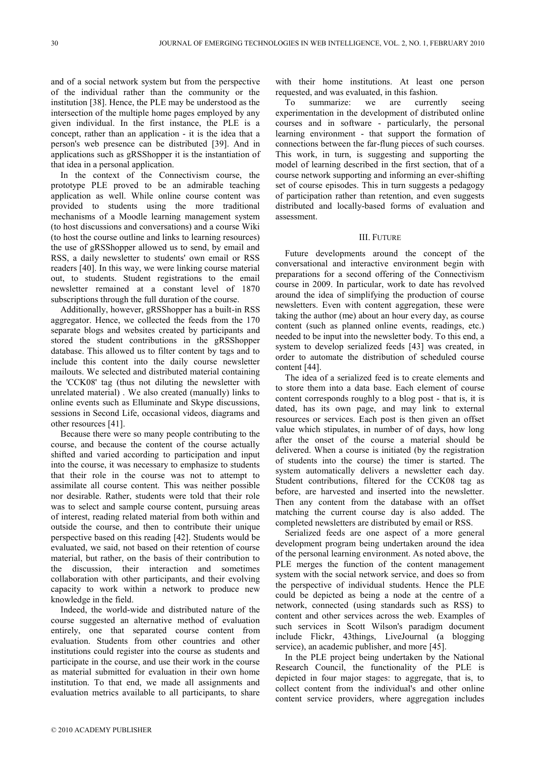and of a social network system but from the perspective of the individual rather than the community or the institution [38]. Hence, the PLE may be understood as the intersection of the multiple home pages employed by any given individual. In the first instance, the PLE is a concept, rather than an application - it is the idea that a person's web presence can be distributed [39]. And in applications such as gRSShopper it is the instantiation of that idea in a personal application.

In the context of the Connectivism course, the prototype PLE proved to be an admirable teaching application as well. While online course content was provided to students using the more traditional mechanisms of a Moodle learning management system (to host discussions and conversations) and a course Wiki (to host the course outline and links to learning resources) the use of gRSShopper allowed us to send, by email and RSS, a daily newsletter to students' own email or RSS readers [40]. In this way, we were linking course material out, to students. Student registrations to the email newsletter remained at a constant level of 1870 subscriptions through the full duration of the course.

Additionally, however, gRSShopper has a built-in RSS aggregator. Hence, we collected the feeds from the 170 separate blogs and websites created by participants and stored the student contributions in the gRSShopper database. This allowed us to filter content by tags and to include this content into the daily course newsletter mailouts. We selected and distributed material containing the 'CCK08' tag (thus not diluting the newsletter with unrelated material) . We also created (manually) links to online events such as Elluminate and Skype discussions, sessions in Second Life, occasional videos, diagrams and other resources [41].

Because there were so many people contributing to the course, and because the content of the course actually shifted and varied according to participation and input into the course, it was necessary to emphasize to students that their role in the course was not to attempt to assimilate all course content. This was neither possible nor desirable. Rather, students were told that their role was to select and sample course content, pursuing areas of interest, reading related material from both within and outside the course, and then to contribute their unique perspective based on this reading [42]. Students would be evaluated, we said, not based on their retention of course material, but rather, on the basis of their contribution to the discussion, their interaction and sometimes collaboration with other participants, and their evolving capacity to work within a network to produce new knowledge in the field.

Indeed, the world-wide and distributed nature of the course suggested an alternative method of evaluation entirely, one that separated course content from evaluation. Students from other countries and other institutions could register into the course as students and participate in the course, and use their work in the course as material submitted for evaluation in their own home institution. To that end, we made all assignments and evaluation metrics available to all participants, to share with their home institutions. At least one person requested, and was evaluated, in this fashion.

To summarize: we are currently seeing experimentation in the development of distributed online courses and in software - particularly, the personal learning environment - that support the formation of connections between the far-flung pieces of such courses. This work, in turn, is suggesting and supporting the model of learning described in the first section, that of a course network supporting and informing an ever-shifting set of course episodes. This in turn suggests a pedagogy of participation rather than retention, and even suggests distributed and locally-based forms of evaluation and assessment.

## III. FUTURE

Future developments around the concept of the conversational and interactive environment begin with preparations for a second offering of the Connectivism course in 2009. In particular, work to date has revolved around the idea of simplifying the production of course newsletters. Even with content aggregation, these were taking the author (me) about an hour every day, as course content (such as planned online events, readings, etc.) needed to be input into the newsletter body. To this end, a system to develop serialized feeds [43] was created, in order to automate the distribution of scheduled course content [44].

The idea of a serialized feed is to create elements and to store them into a data base. Each element of course content corresponds roughly to a blog post - that is, it is dated, has its own page, and may link to external resources or services. Each post is then given an offset value which stipulates, in number of of days, how long after the onset of the course a material should be delivered. When a course is initiated (by the registration of students into the course) the timer is started. The system automatically delivers a newsletter each day. Student contributions, filtered for the CCK08 tag as before, are harvested and inserted into the newsletter. Then any content from the database with an offset matching the current course day is also added. The completed newsletters are distributed by email or RSS.

Serialized feeds are one aspect of a more general development program being undertaken around the idea of the personal learning environment. As noted above, the PLE merges the function of the content management system with the social network service, and does so from the perspective of individual students. Hence the PLE could be depicted as being a node at the centre of a network, connected (using standards such as RSS) to content and other services across the web. Examples of such services in Scott Wilson's paradigm document include Flickr, 43things, LiveJournal (a blogging service), an academic publisher, and more [45].

In the PLE project being undertaken by the National Research Council, the functionality of the PLE is depicted in four major stages: to aggregate, that is, to collect content from the individual's and other online content service providers, where aggregation includes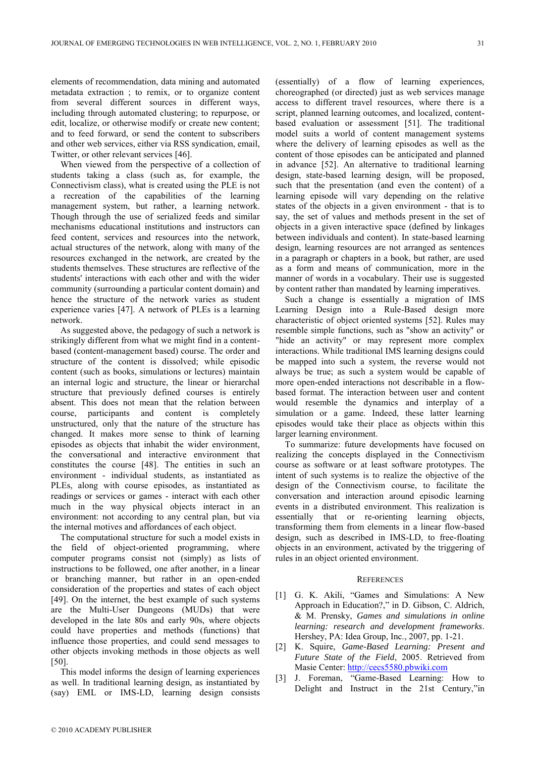elements of recommendation, data mining and automated metadata extraction ; to remix, or to organize content from several different sources in different ways, including through automated clustering; to repurpose, or edit, localize, or otherwise modify or create new content; and to feed forward, or send the content to subscribers and other web services, either via RSS syndication, email, Twitter, or other relevant services [46].

When viewed from the perspective of a collection of students taking a class (such as, for example, the Connectivism class), what is created using the PLE is not a recreation of the capabilities of the learning management system, but rather, a learning network. Though through the use of serialized feeds and similar mechanisms educational institutions and instructors can feed content, services and resources into the network, actual structures of the network, along with many of the resources exchanged in the network, are created by the students themselves. These structures are reflective of the students' interactions with each other and with the wider community (surrounding a particular content domain) and hence the structure of the network varies as student experience varies [47]. A network of PLEs is a learning network.

As suggested above, the pedagogy of such a network is strikingly different from what we might find in a contentbased (content-management based) course. The order and structure of the content is dissolved; while episodic content (such as books, simulations or lectures) maintain an internal logic and structure, the linear or hierarchal structure that previously defined courses is entirely absent. This does not mean that the relation between course, participants and content is completely unstructured, only that the nature of the structure has changed. It makes more sense to think of learning episodes as objects that inhabit the wider environment, the conversational and interactive environment that constitutes the course [48]. The entities in such an environment - individual students, as instantiated as PLEs, along with course episodes, as instantiated as readings or services or games - interact with each other much in the way physical objects interact in an environment: not according to any central plan, but via the internal motives and affordances of each object.

The computational structure for such a model exists in the field of object-oriented programming, where computer programs consist not (simply) as lists of instructions to be followed, one after another, in a linear or branching manner, but rather in an open-ended consideration of the properties and states of each object [49]. On the internet, the best example of such systems are the Multi-User Dungeons (MUDs) that were developed in the late 80s and early 90s, where objects could have properties and methods (functions) that influence those properties, and could send messages to other objects invoking methods in those objects as well [50].

This model informs the design of learning experiences as well. In traditional learning design, as instantiated by (say) EML or IMS-LD, learning design consists (essentially) of a flow of learning experiences, choreographed (or directed) just as web services manage access to different travel resources, where there is a script, planned learning outcomes, and localized, contentbased evaluation or assessment [51]. The traditional model suits a world of content management systems where the delivery of learning episodes as well as the content of those episodes can be anticipated and planned in advance [52]. An alternative to traditional learning design, state-based learning design, will be proposed, such that the presentation (and even the content) of a learning episode will vary depending on the relative states of the objects in a given environment - that is to say, the set of values and methods present in the set of objects in a given interactive space (defined by linkages between individuals and content). In state-based learning design, learning resources are not arranged as sentences in a paragraph or chapters in a book, but rather, are used as a form and means of communication, more in the manner of words in a vocabulary. Their use is suggested by content rather than mandated by learning imperatives.

Such a change is essentially a migration of IMS Learning Design into a Rule-Based design more characteristic of object oriented systems [52]. Rules may resemble simple functions, such as "show an activity" or "hide an activity" or may represent more complex interactions. While traditional IMS learning designs could be mapped into such a system, the reverse would not always be true; as such a system would be capable of more open-ended interactions not describable in a flowbased format. The interaction between user and content would resemble the dynamics and interplay of a simulation or a game. Indeed, these latter learning episodes would take their place as objects within this larger learning environment.

To summarize: future developments have focused on realizing the concepts displayed in the Connectivism course as software or at least software prototypes. The intent of such systems is to realize the objective of the design of the Connectivism course, to facilitate the conversation and interaction around episodic learning events in a distributed environment. This realization is essentially that or re-orienting learning objects, transforming them from elements in a linear flow-based design, such as described in IMS-LD, to free-floating objects in an environment, activated by the triggering of rules in an object oriented environment.

#### **REFERENCES**

- [1] G. K. Akili, "Games and Simulations: A New Approach in Education?," in D. Gibson, C. Aldrich, & M. Prensky, *Games and simulations in online learning: research and development frameworks*. Hershey, PA: Idea Group, Inc., 2007, pp. 1-21.
- [2] K. Squire, *Game-Based Learning: Present and Future State of the Field*, 2005. Retrieved from Masie Center: [http://cecs5580.pbwiki.com](http://cecs5580.pbwiki.com/)
- [3] J. Foreman, "Game-Based Learning: How to Delight and Instruct in the 21st Century,"in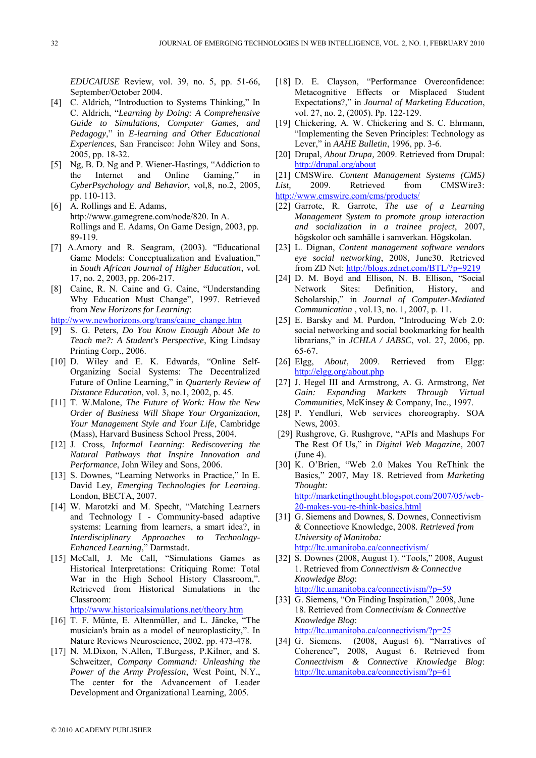*EDUCAIUSE* Review, vol. 39, no. 5, pp. 51-66, September/October 2004.

- [4] C. Aldrich, "Introduction to Systems Thinking," In C. Aldrich, "*Learning by Doing: A Comprehensive Guide to Simulations, Computer Games, and Pedagogy*," in *E-learning and Other Educational Experiences*, San Francisco: John Wiley and Sons, 2005, pp. 18-32.
- [5] Ng, B. D. Ng and P. Wiener-Hastings, "Addiction to the Internet and Online Gaming," in *CyberPsychology and Behavior*, vol,8, no.2, 2005, pp. 110-113.
- [6] A. Rollings and E. Adams, http://www.gamegrene.com/node/820. In A. Rollings and E. Adams, On Game Design, 2003, pp. 89-119.
- [7] A.Amory and R. Seagram, (2003). "Educational Game Models: Conceptualization and Evaluation," in *South African Journal of Higher Education*, vol. 17, no. 2, 2003, pp. 206-217.
- [8] Caine, R. N. Caine and G. Caine, "Understanding Why Education Must Change", 1997. Retrieved from *New Horizons for Learning*:

[http://www.newhorizons.org/trans/caine\\_change.htm](http://www.newhorizons.org/trans/caine_change.htm)

- [9] S. G. Peters, *Do You Know Enough About Me to Teach me?: A Student's Perspective*, King Lindsay Printing Corp., 2006.
- [10] D. Wiley and E. K. Edwards, "Online Self-Organizing Social Systems: The Decentralized Future of Online Learning," in *Quarterly Review of Distance Education*, vol. 3, no.1, 2002, p. 45.
- [11] T. W.Malone, *The Future of Work: How the New Order of Business Will Shape Your Organization, Your Management Style and Your Life*, Cambridge (Mass), Harvard Business School Press, 2004.
- [12] J. Cross, *Informal Learning: Rediscovering the Natural Pathways that Inspire Innovation and Performance*, John Wiley and Sons, 2006.
- [13] S. Downes, "Learning Networks in Practice," In E. David Ley*, Emerging Technologies for Learning*. London, BECTA, 2007.
- [14] W. Marotzki and M. Specht, "Matching Learners and Technology I - Community-based adaptive systems: Learning from learners, a smart idea?, in *Interdisciplinary Approaches to Technology-Enhanced Learning*," Darmstadt.
- [15] McCall, J. Mc Call, "Simulations Games as Historical Interpretations: Critiquing Rome: Total War in the High School History Classroom,". Retrieved from Historical Simulations in the Classroom:

<http://www.historicalsimulations.net/theory.htm>

- [16] T. F. Münte, E. Altenmüller, and L. Jäncke, "The musician's brain as a model of neuroplasticity,". In Nature Reviews Neuroscience, 2002. pp. 473-478.
- [17] N. M.Dixon, N.Allen, T.Burgess, P.Kilner, and S. Schweitzer, *Company Command: Unleashing the Power of the Army Profession*, West Point, N.Y., The center for the Advancement of Leader Development and Organizational Learning, 2005.
- [18] D. E. Clayson, "Performance Overconfidence: Metacognitive Effects or Misplaced Student Expectations?," in *Journal of Marketing Education*, vol. 27, no. 2, (2005). Pp. 122-129.
- [19] Chickering, A. W. Chickering and S. C. Ehrmann, "Implementing the Seven Principles: Technology as Lever," in *AAHE Bulletin*, 1996, pp. 3-6.
- [20] Drupal, *About Drupa*, 2009. Retrieved from Drupal: <http://drupal.org/about>

[21] CMSWire. *Content Management Systems (CMS)* 

List, 2009. Retrieved from CMSWire3: <http://www.cmswire.com/cms/products/>

- [22] Garrote, R. Garrote, *The use of a Learning Management System to promote group interaction and socialization in a trainee project*, 2007, högskolor och samhälle i samverkan. Högskolan.
- [23] L. Dignan, *Content management software vendors eye social networking*, 2008, June30. Retrieved from ZD Net:<http://blogs.zdnet.com/BTL/?p=9219>
- [24] D. M. Boyd and Ellison, N. B. Ellison, "Social<br>Network Sites: Definition, History, and Sites: Definition, History, and Scholarship," in *Journal of Computer-Mediated Communication* , vol.13, no. 1, 2007, p. 11.
- [25] E. Barsky and M. Purdon, "Introducing Web 2.0: social networking and social bookmarking for health librarians," in *JCHLA / JABSC*, vol. 27, 2006, pp. 65-67.
- [26] Elgg, *About*, 2009. Retrieved from Elgg: <http://elgg.org/about.php>
- [27] J. Hegel III and Armstrong, A. G. Armstrong, *Net Gain: Expanding Markets Through Virtual Communities*, McKinsey & Company, Inc., 1997.
- [28] P. Yendluri, Web services choreography. SOA News, 2003.
- [29] Rushgrove, G. Rushgrove, "APIs and Mashups For The Rest Of Us," in *Digital Web Magazine*, 2007 (June 4).
- [30] K. O'Brien, "Web 2.0 Makes You ReThink the Basics," 2007, May 18. Retrieved from *Marketing Thought:*  [http://marketingthought.blogspot.com/2007/05/web-](http://marketingthought.blogspot.com/2007/05/web-20-makes-you-re-think-basics.html)[20-makes-you-re-think-basics.html](http://marketingthought.blogspot.com/2007/05/web-20-makes-you-re-think-basics.html)
- [31] G. Siemens and Downes, S. Downes, Connectivism & Connectiove Knowledge, 2008*. Retrieved from University of Manitoba:* <http://ltc.umanitoba.ca/connectivism/>
- [32] S. Downes (2008, August 1). "Tools*,*" 2008, August 1. Retrieved from *Connectivism & Connective Knowledge Blog*: <http://ltc.umanitoba.ca/connectivism/?p=59>
- [33] G. Siemens, "On Finding Inspiration," 2008, June 18. Retrieved from *Connectivism & Connective Knowledge Blog*: <http://ltc.umanitoba.ca/connectivism/?p=25>
- [34] G. Siemens. (2008, August 6). "Narratives of Coherence", 2008, August 6. Retrieved from *Connectivism & Connective Knowledge Blog*: <http://ltc.umanitoba.ca/connectivism/?p=61>